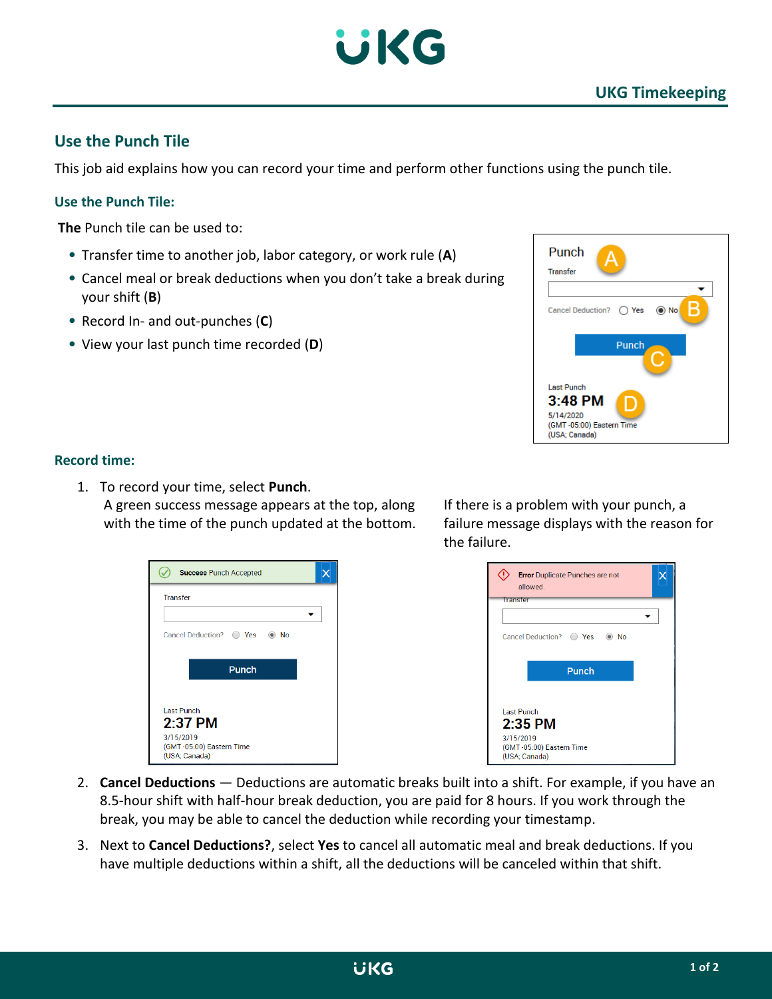

# **Use the Punch Tile**

This job aid explains how you can record your time and perform other functions using the punch tile.

## **Use the Punch Tile:**

**The** Punch tile can be used to:

- Transfer time to another job, labor category, or work rule (**A**)
- Cancel meal or break deductions when you don't take a break during your shift (**B**)
- Record In- and out-punches (**C**)
- View your last punch time recorded (**D**)



#### **Record time:**

1. To record your time, select **Punch**. A green success message appears at the top, along with the time of the punch updated at the bottom.

| <b>Success Punch Accepted</b>                          |  |
|--------------------------------------------------------|--|
| <b>Transfer</b>                                        |  |
|                                                        |  |
| Cancel Deduction? • Yes • •<br>No                      |  |
|                                                        |  |
| Punch                                                  |  |
|                                                        |  |
| <b>Last Punch</b>                                      |  |
| $2.37$ PM                                              |  |
| 3/15/2019<br>(GMT-05:00) Eastern Time<br>(USA; Canada) |  |

If there is a problem with your punch, a failure message displays with the reason for the failure.

| <b>Error</b> Duplicate Punches are not<br>allowed                                 |  |
|-----------------------------------------------------------------------------------|--|
| Transfer                                                                          |  |
| Cancel Deduction? C Yes C No                                                      |  |
| Punch                                                                             |  |
| Last Punch<br>$2:35$ PM<br>3/15/2019<br>(GMT-05:00) Eastern Time<br>(USA; Canada) |  |

- 2. **Cancel Deductions** Deductions are automatic breaks built into a shift. For example, if you have an 8.5-hour shift with half-hour break deduction, you are paid for 8 hours. If you work through the break, you may be able to cancel the deduction while recording your timestamp.
- 3. Next to **Cancel Deductions?**, select **Yes** to cancel all automatic meal and break deductions. If you have multiple deductions within a shift, all the deductions will be canceled within that shift.